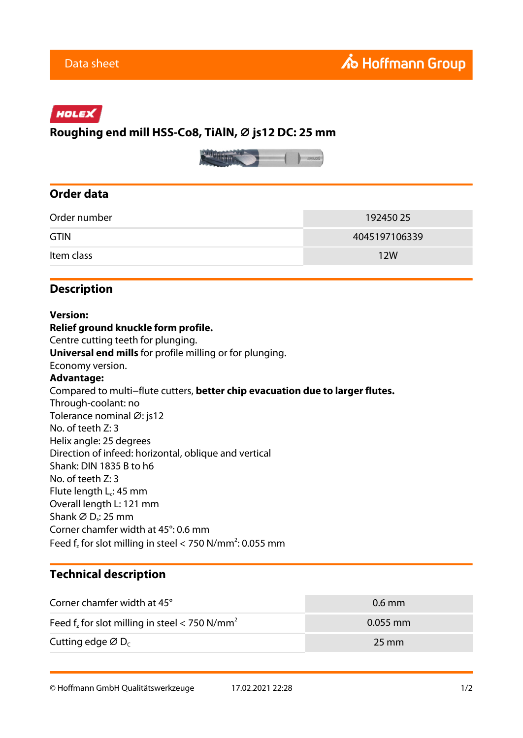# HOLEX

# **Roughing end mill HSS-Co8, TiAlN, ⌀ js12 DC: 25 mm**



### **Order data**

| Order number | 192450 25     |
|--------------|---------------|
| <b>GTIN</b>  | 4045197106339 |
| Item class   | 12W           |

#### **Description**

#### **Version: Relief ground knuckle form profile.** Centre cutting teeth for plunging. **Universal end mills** for profile milling or for plunging. Economy version. **Advantage:** Compared to multi−flute cutters, **better chip evacuation due to larger flutes.** Through-coolant: no Tolerance nominal Ø: js12 No. of teeth Z: 3 Helix angle: 25 degrees Direction of infeed: horizontal, oblique and vertical Shank: DIN 1835 B to h6 No. of teeth Z: 3 Flute length  $L_c$ : 45 mm Overall length L: 121 mm Shank  $\varnothing$  D<sub>s</sub>: 25 mm Corner chamfer width at 45°: 0.6 mm Feed  $f_z$  for slot milling in steel < 750 N/mm<sup>2</sup>: 0.055 mm

# **Technical description**

| Corner chamfer width at 45°                                  | $0.6$ mm           |
|--------------------------------------------------------------|--------------------|
| Feed $f_z$ for slot milling in steel < 750 N/mm <sup>2</sup> | $0.055$ mm         |
| Cutting edge $\varnothing$ D <sub>c</sub>                    | $25 \,\mathrm{mm}$ |